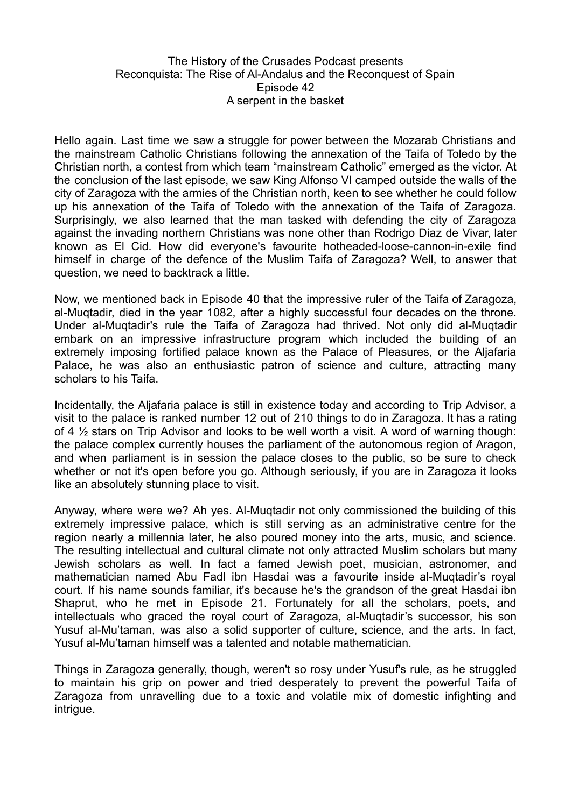## The History of the Crusades Podcast presents Reconquista: The Rise of Al-Andalus and the Reconquest of Spain Episode 42 A serpent in the basket

Hello again. Last time we saw a struggle for power between the Mozarab Christians and the mainstream Catholic Christians following the annexation of the Taifa of Toledo by the Christian north, a contest from which team "mainstream Catholic" emerged as the victor. At the conclusion of the last episode, we saw King Alfonso VI camped outside the walls of the city of Zaragoza with the armies of the Christian north, keen to see whether he could follow up his annexation of the Taifa of Toledo with the annexation of the Taifa of Zaragoza. Surprisingly, we also learned that the man tasked with defending the city of Zaragoza against the invading northern Christians was none other than Rodrigo Diaz de Vivar, later known as El Cid. How did everyone's favourite hotheaded-loose-cannon-in-exile find himself in charge of the defence of the Muslim Taifa of Zaragoza? Well, to answer that question, we need to backtrack a little.

Now, we mentioned back in Episode 40 that the impressive ruler of the Taifa of Zaragoza, al-Muqtadir, died in the year 1082, after a highly successful four decades on the throne. Under al-Muqtadir's rule the Taifa of Zaragoza had thrived. Not only did al-Muqtadir embark on an impressive infrastructure program which included the building of an extremely imposing fortified palace known as the Palace of Pleasures, or the Aljafaria Palace, he was also an enthusiastic patron of science and culture, attracting many scholars to his Taifa.

Incidentally, the Aljafaria palace is still in existence today and according to Trip Advisor, a visit to the palace is ranked number 12 out of 210 things to do in Zaragoza. It has a rating of 4 ½ stars on Trip Advisor and looks to be well worth a visit. A word of warning though: the palace complex currently houses the parliament of the autonomous region of Aragon, and when parliament is in session the palace closes to the public, so be sure to check whether or not it's open before you go. Although seriously, if you are in Zaragoza it looks like an absolutely stunning place to visit.

Anyway, where were we? Ah yes. Al-Muqtadir not only commissioned the building of this extremely impressive palace, which is still serving as an administrative centre for the region nearly a millennia later, he also poured money into the arts, music, and science. The resulting intellectual and cultural climate not only attracted Muslim scholars but many Jewish scholars as well. In fact a famed Jewish poet, musician, astronomer, and mathematician named Abu Fadl ibn Hasdai was a favourite inside al-Muqtadir's royal court. If his name sounds familiar, it's because he's the grandson of the great Hasdai ibn Shaprut, who he met in Episode 21. Fortunately for all the scholars, poets, and intellectuals who graced the royal court of Zaragoza, al-Muqtadir's successor, his son Yusuf al-Mu'taman, was also a solid supporter of culture, science, and the arts. In fact, Yusuf al-Mu'taman himself was a talented and notable mathematician.

Things in Zaragoza generally, though, weren't so rosy under Yusuf's rule, as he struggled to maintain his grip on power and tried desperately to prevent the powerful Taifa of Zaragoza from unravelling due to a toxic and volatile mix of domestic infighting and intrique.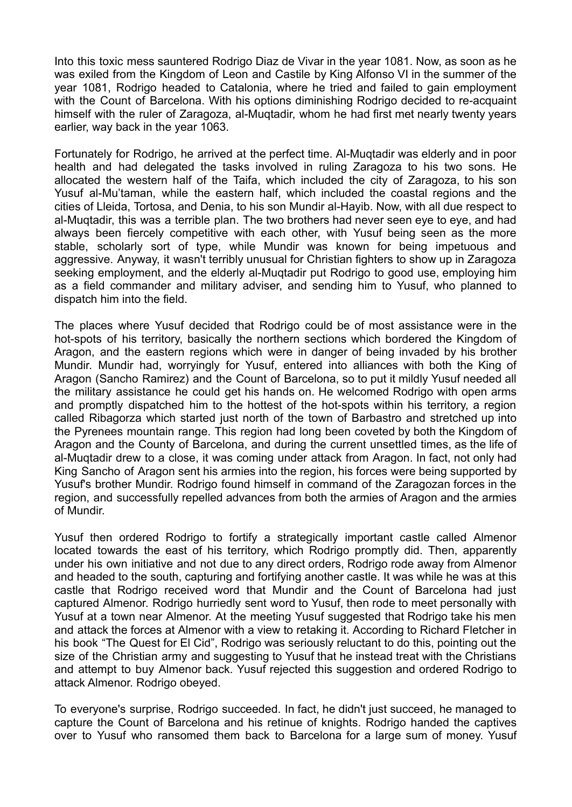Into this toxic mess sauntered Rodrigo Diaz de Vivar in the year 1081. Now, as soon as he was exiled from the Kingdom of Leon and Castile by King Alfonso VI in the summer of the year 1081, Rodrigo headed to Catalonia, where he tried and failed to gain employment with the Count of Barcelona. With his options diminishing Rodrigo decided to re-acquaint himself with the ruler of Zaragoza, al-Muqtadir, whom he had first met nearly twenty years earlier, way back in the year 1063.

Fortunately for Rodrigo, he arrived at the perfect time. Al-Muqtadir was elderly and in poor health and had delegated the tasks involved in ruling Zaragoza to his two sons. He allocated the western half of the Taifa, which included the city of Zaragoza, to his son Yusuf al-Mu'taman, while the eastern half, which included the coastal regions and the cities of Lleida, Tortosa, and Denia, to his son Mundir al-Hayib. Now, with all due respect to al-Muqtadir, this was a terrible plan. The two brothers had never seen eye to eye, and had always been fiercely competitive with each other, with Yusuf being seen as the more stable, scholarly sort of type, while Mundir was known for being impetuous and aggressive. Anyway, it wasn't terribly unusual for Christian fighters to show up in Zaragoza seeking employment, and the elderly al-Muqtadir put Rodrigo to good use, employing him as a field commander and military adviser, and sending him to Yusuf, who planned to dispatch him into the field.

The places where Yusuf decided that Rodrigo could be of most assistance were in the hot-spots of his territory, basically the northern sections which bordered the Kingdom of Aragon, and the eastern regions which were in danger of being invaded by his brother Mundir. Mundir had, worryingly for Yusuf, entered into alliances with both the King of Aragon (Sancho Ramirez) and the Count of Barcelona, so to put it mildly Yusuf needed all the military assistance he could get his hands on. He welcomed Rodrigo with open arms and promptly dispatched him to the hottest of the hot-spots within his territory, a region called Ribagorza which started just north of the town of Barbastro and stretched up into the Pyrenees mountain range. This region had long been coveted by both the Kingdom of Aragon and the County of Barcelona, and during the current unsettled times, as the life of al-Muqtadir drew to a close, it was coming under attack from Aragon. In fact, not only had King Sancho of Aragon sent his armies into the region, his forces were being supported by Yusuf's brother Mundir. Rodrigo found himself in command of the Zaragozan forces in the region, and successfully repelled advances from both the armies of Aragon and the armies of Mundir.

Yusuf then ordered Rodrigo to fortify a strategically important castle called Almenor located towards the east of his territory, which Rodrigo promptly did. Then, apparently under his own initiative and not due to any direct orders, Rodrigo rode away from Almenor and headed to the south, capturing and fortifying another castle. It was while he was at this castle that Rodrigo received word that Mundir and the Count of Barcelona had just captured Almenor. Rodrigo hurriedly sent word to Yusuf, then rode to meet personally with Yusuf at a town near Almenor. At the meeting Yusuf suggested that Rodrigo take his men and attack the forces at Almenor with a view to retaking it. According to Richard Fletcher in his book "The Quest for El Cid", Rodrigo was seriously reluctant to do this, pointing out the size of the Christian army and suggesting to Yusuf that he instead treat with the Christians and attempt to buy Almenor back. Yusuf rejected this suggestion and ordered Rodrigo to attack Almenor. Rodrigo obeyed.

To everyone's surprise, Rodrigo succeeded. In fact, he didn't just succeed, he managed to capture the Count of Barcelona and his retinue of knights. Rodrigo handed the captives over to Yusuf who ransomed them back to Barcelona for a large sum of money. Yusuf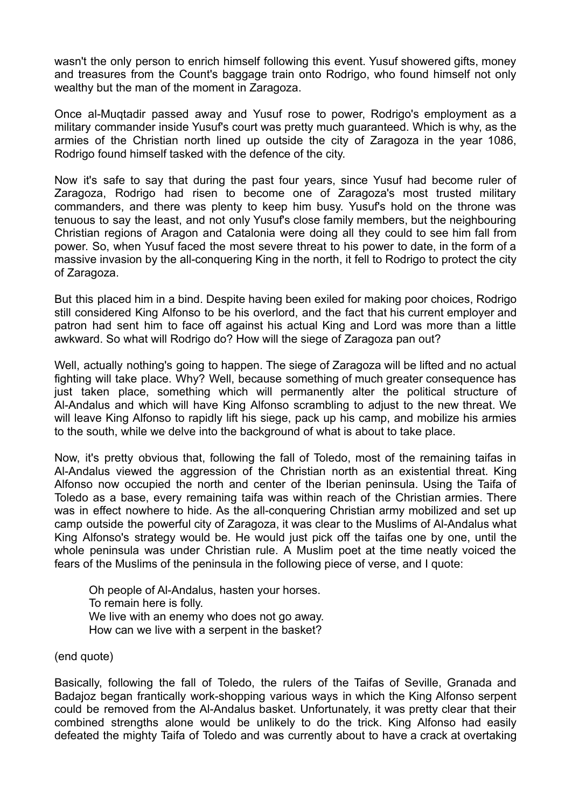wasn't the only person to enrich himself following this event. Yusuf showered gifts, money and treasures from the Count's baggage train onto Rodrigo, who found himself not only wealthy but the man of the moment in Zaragoza.

Once al-Muqtadir passed away and Yusuf rose to power, Rodrigo's employment as a military commander inside Yusuf's court was pretty much guaranteed. Which is why, as the armies of the Christian north lined up outside the city of Zaragoza in the year 1086, Rodrigo found himself tasked with the defence of the city.

Now it's safe to say that during the past four years, since Yusuf had become ruler of Zaragoza, Rodrigo had risen to become one of Zaragoza's most trusted military commanders, and there was plenty to keep him busy. Yusuf's hold on the throne was tenuous to say the least, and not only Yusuf's close family members, but the neighbouring Christian regions of Aragon and Catalonia were doing all they could to see him fall from power. So, when Yusuf faced the most severe threat to his power to date, in the form of a massive invasion by the all-conquering King in the north, it fell to Rodrigo to protect the city of Zaragoza.

But this placed him in a bind. Despite having been exiled for making poor choices, Rodrigo still considered King Alfonso to be his overlord, and the fact that his current employer and patron had sent him to face off against his actual King and Lord was more than a little awkward. So what will Rodrigo do? How will the siege of Zaragoza pan out?

Well, actually nothing's going to happen. The siege of Zaragoza will be lifted and no actual fighting will take place. Why? Well, because something of much greater consequence has just taken place, something which will permanently alter the political structure of Al-Andalus and which will have King Alfonso scrambling to adjust to the new threat. We will leave King Alfonso to rapidly lift his siege, pack up his camp, and mobilize his armies to the south, while we delve into the background of what is about to take place.

Now, it's pretty obvious that, following the fall of Toledo, most of the remaining taifas in Al-Andalus viewed the aggression of the Christian north as an existential threat. King Alfonso now occupied the north and center of the Iberian peninsula. Using the Taifa of Toledo as a base, every remaining taifa was within reach of the Christian armies. There was in effect nowhere to hide. As the all-conquering Christian army mobilized and set up camp outside the powerful city of Zaragoza, it was clear to the Muslims of Al-Andalus what King Alfonso's strategy would be. He would just pick off the taifas one by one, until the whole peninsula was under Christian rule. A Muslim poet at the time neatly voiced the fears of the Muslims of the peninsula in the following piece of verse, and I quote:

Oh people of Al-Andalus, hasten your horses. To remain here is folly. We live with an enemy who does not go away. How can we live with a serpent in the basket?

(end quote)

Basically, following the fall of Toledo, the rulers of the Taifas of Seville, Granada and Badajoz began frantically work-shopping various ways in which the King Alfonso serpent could be removed from the Al-Andalus basket. Unfortunately, it was pretty clear that their combined strengths alone would be unlikely to do the trick. King Alfonso had easily defeated the mighty Taifa of Toledo and was currently about to have a crack at overtaking